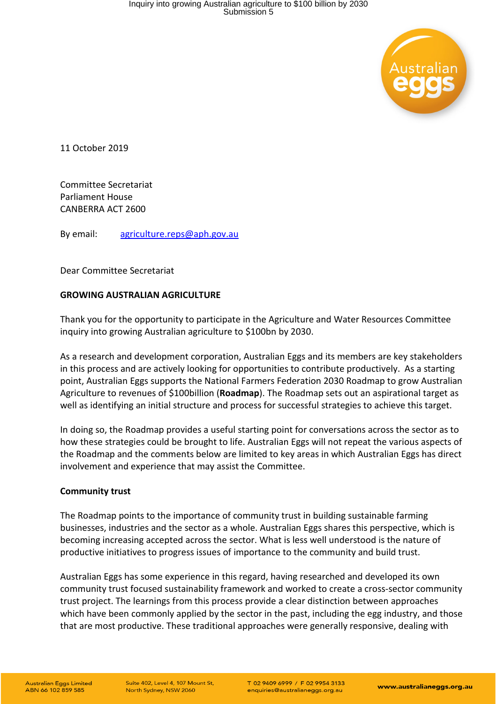

11 October 2019

Committee Secretariat Parliament House CANBERRA ACT 2600

By email: [agriculture.reps@aph.gov.au](mailto:agriculture.reps@aph.gov.au)

Dear Committee Secretariat

## **GROWING AUSTRALIAN AGRICULTURE**

Thank you for the opportunity to participate in the Agriculture and Water Resources Committee inquiry into growing Australian agriculture to \$100bn by 2030.

As a research and development corporation, Australian Eggs and its members are key stakeholders in this process and are actively looking for opportunities to contribute productively. As a starting point, Australian Eggs supports the National Farmers Federation 2030 Roadmap to grow Australian Agriculture to revenues of \$100billion (**Roadmap**). The Roadmap sets out an aspirational target as well as identifying an initial structure and process for successful strategies to achieve this target.

In doing so, the Roadmap provides a useful starting point for conversations across the sector as to how these strategies could be brought to life. Australian Eggs will not repeat the various aspects of the Roadmap and the comments below are limited to key areas in which Australian Eggs has direct involvement and experience that may assist the Committee.

## **Community trust**

The Roadmap points to the importance of community trust in building sustainable farming businesses, industries and the sector as a whole. Australian Eggs shares this perspective, which is becoming increasing accepted across the sector. What is less well understood is the nature of productive initiatives to progress issues of importance to the community and build trust.

Australian Eggs has some experience in this regard, having researched and developed its own community trust focused sustainability framework and worked to create a cross-sector community trust project. The learnings from this process provide a clear distinction between approaches which have been commonly applied by the sector in the past, including the egg industry, and those that are most productive. These traditional approaches were generally responsive, dealing with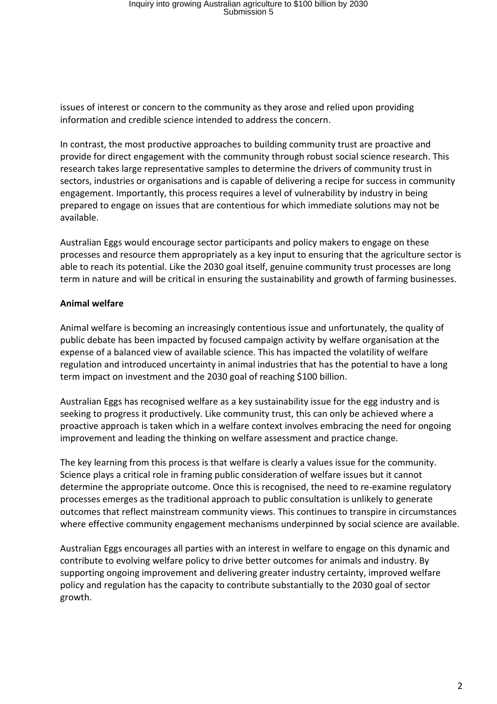issues of interest or concern to the community as they arose and relied upon providing information and credible science intended to address the concern.

In contrast, the most productive approaches to building community trust are proactive and provide for direct engagement with the community through robust social science research. This research takes large representative samples to determine the drivers of community trust in sectors, industries or organisations and is capable of delivering a recipe for success in community engagement. Importantly, this process requires a level of vulnerability by industry in being prepared to engage on issues that are contentious for which immediate solutions may not be available.

Australian Eggs would encourage sector participants and policy makers to engage on these processes and resource them appropriately as a key input to ensuring that the agriculture sector is able to reach its potential. Like the 2030 goal itself, genuine community trust processes are long term in nature and will be critical in ensuring the sustainability and growth of farming businesses.

## **Animal welfare**

Animal welfare is becoming an increasingly contentious issue and unfortunately, the quality of public debate has been impacted by focused campaign activity by welfare organisation at the expense of a balanced view of available science. This has impacted the volatility of welfare regulation and introduced uncertainty in animal industries that has the potential to have a long term impact on investment and the 2030 goal of reaching \$100 billion.

Australian Eggs has recognised welfare as a key sustainability issue for the egg industry and is seeking to progress it productively. Like community trust, this can only be achieved where a proactive approach is taken which in a welfare context involves embracing the need for ongoing improvement and leading the thinking on welfare assessment and practice change.

The key learning from this process is that welfare is clearly a values issue for the community. Science plays a critical role in framing public consideration of welfare issues but it cannot determine the appropriate outcome. Once this is recognised, the need to re-examine regulatory processes emerges as the traditional approach to public consultation is unlikely to generate outcomes that reflect mainstream community views. This continues to transpire in circumstances where effective community engagement mechanisms underpinned by social science are available.

Australian Eggs encourages all parties with an interest in welfare to engage on this dynamic and contribute to evolving welfare policy to drive better outcomes for animals and industry. By supporting ongoing improvement and delivering greater industry certainty, improved welfare policy and regulation has the capacity to contribute substantially to the 2030 goal of sector growth.